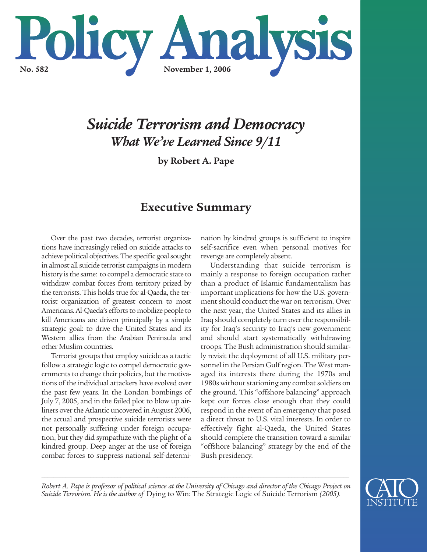

# *Suicide Terrorism and Democracy What We've Learned Since 9/11*

**by Robert A. Pape**

# **Executive Summary**

Over the past two decades, terrorist organizations have increasingly relied on suicide attacks to achieve political objectives. The specific goal sought in almost all suicide terrorist campaigns in modern history is the same: to compel a democratic state to withdraw combat forces from territory prized by the terrorists. This holds true for al-Qaeda, the terrorist organization of greatest concern to most Americans. Al-Qaeda's efforts to mobilize people to kill Americans are driven principally by a simple strategic goal: to drive the United States and its Western allies from the Arabian Peninsula and other Muslim countries.

Terrorist groups that employ suicide as a tactic follow a strategic logic to compel democratic governments to change their policies, but the motivations of the individual attackers have evolved over the past few years. In the London bombings of July 7, 2005, and in the failed plot to blow up airliners over the Atlantic uncovered in August 2006, the actual and prospective suicide terrorists were not personally suffering under foreign occupation, but they did sympathize with the plight of a kindred group. Deep anger at the use of foreign combat forces to suppress national self-determination by kindred groups is sufficient to inspire self-sacrifice even when personal motives for revenge are completely absent.

Understanding that suicide terrorism is mainly a response to foreign occupation rather than a product of Islamic fundamentalism has important implications for how the U.S. government should conduct the war on terrorism. Over the next year, the United States and its allies in Iraq should completely turn over the responsibility for Iraq's security to Iraq's new government and should start systematically withdrawing troops. The Bush administration should similarly revisit the deployment of all U.S. military personnel in the Persian Gulf region. The West managed its interests there during the 1970s and 1980s without stationing any combat soldiers on the ground. This "offshore balancing" approach kept our forces close enough that they could respond in the event of an emergency that posed a direct threat to U.S. vital interests. In order to effectively fight al-Qaeda, the United States should complete the transition toward a similar "offshore balancing" strategy by the end of the Bush presidency.

*\_\_\_\_\_\_\_\_\_\_\_\_\_\_\_\_\_\_\_\_\_\_\_\_\_\_\_\_\_\_\_\_\_\_\_\_\_\_\_\_\_\_\_\_\_\_\_\_\_\_\_\_\_\_\_\_\_\_\_\_\_\_\_\_\_\_\_\_\_\_\_\_\_\_\_\_\_\_\_\_\_\_\_\_\_\_\_\_\_\_\_\_\_\_\_\_\_\_\_\_\_ Robert A. Pape is professor of political science at the University of Chicago and director of the Chicago Project on Suicide Terrorism. He is the author of* Dying to Win: The Strategic Logic of Suicide Terrorism *(2005).*

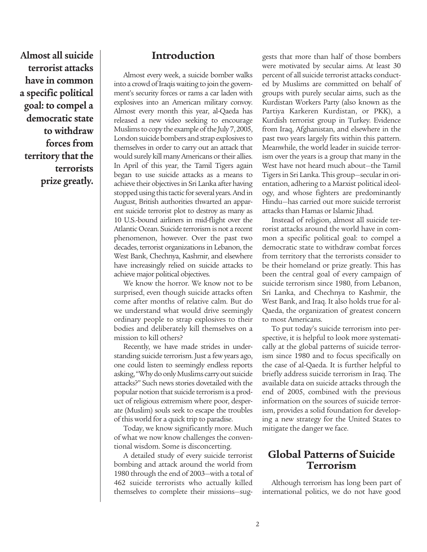**Almost all suicide terrorist attacks have in common a specific political goal: to compel a democratic state to withdraw forces from territory that the terrorists prize greatly.** 

### **Introduction**

Almost every week, a suicide bomber walks into a crowd of Iraqis waiting to join the government's security forces or rams a car laden with explosives into an American military convoy. Almost every month this year, al-Qaeda has released a new video seeking to encourage Muslims to copy the example of the July 7, 2005, London suicide bombers and strap explosives to themselves in order to carry out an attack that would surely kill many Americans or their allies. In April of this year, the Tamil Tigers again began to use suicide attacks as a means to achieve their objectives in Sri Lanka after having stopped using this tactic for several years. And in August, British authorities thwarted an apparent suicide terrorist plot to destroy as many as 10 U.S.-bound airliners in mid-flight over the Atlantic Ocean. Suicide terrorism is not a recent phenomenon, however. Over the past two decades, terrorist organizations in Lebanon, the West Bank, Chechnya, Kashmir, and elsewhere have increasingly relied on suicide attacks to achieve major political objectives.

We know the horror. We know not to be surprised, even though suicide attacks often come after months of relative calm. But do we understand what would drive seemingly ordinary people to strap explosives to their bodies and deliberately kill themselves on a mission to kill others?

Recently, we have made strides in understanding suicide terrorism. Just a few years ago, one could listen to seemingly endless reports asking, "Why do only Muslims carry out suicide attacks?" Such news stories dovetailed with the popular notion that suicide terrorism is a product of religious extremism where poor, desperate (Muslim) souls seek to escape the troubles of this world for a quick trip to paradise.

Today, we know significantly more. Much of what we now know challenges the conventional wisdom. Some is disconcerting.

A detailed study of every suicide terrorist bombing and attack around the world from 1980 through the end of 2003—with a total of 462 suicide terrorists who actually killed themselves to complete their missions—suggests that more than half of those bombers were motivated by secular aims. At least 30 percent of all suicide terrorist attacks conducted by Muslims are committed on behalf of groups with purely secular aims, such as the Kurdistan Workers Party (also known as the Partiya Karkeren Kurdistan, or PKK), a Kurdish terrorist group in Turkey. Evidence from Iraq, Afghanistan, and elsewhere in the past two years largely fits within this pattern. Meanwhile, the world leader in suicide terrorism over the years is a group that many in the West have not heard much about—the Tamil Tigers in Sri Lanka. This group—secular in orientation, adhering to a Marxist political ideology, and whose fighters are predominantly Hindu—has carried out more suicide terrorist attacks than Hamas or Islamic Jihad.

Instead of religion, almost all suicide terrorist attacks around the world have in common a specific political goal: to compel a democratic state to withdraw combat forces from territory that the terrorists consider to be their homeland or prize greatly. This has been the central goal of every campaign of suicide terrorism since 1980, from Lebanon, Sri Lanka, and Chechnya to Kashmir, the West Bank, and Iraq. It also holds true for al-Qaeda, the organization of greatest concern to most Americans.

To put today's suicide terrorism into perspective, it is helpful to look more systematically at the global patterns of suicide terrorism since 1980 and to focus specifically on the case of al-Qaeda. It is further helpful to briefly address suicide terrorism in Iraq. The available data on suicide attacks through the end of 2005, combined with the previous information on the sources of suicide terrorism, provides a solid foundation for developing a new strategy for the United States to mitigate the danger we face.

### **Global Patterns of Suicide Terrorism**

Although terrorism has long been part of international politics, we do not have good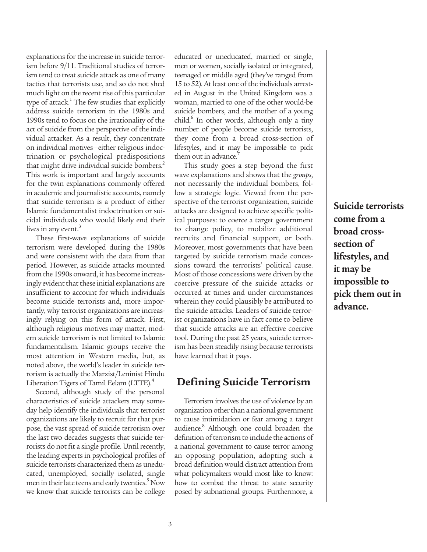explanations for the increase in suicide terrorism before 9/11. Traditional studies of terrorism tend to treat suicide attack as one of many tactics that terrorists use, and so do not shed much light on the recent rise of this particular type of attack.<sup>1</sup> The few studies that explicitly address suicide terrorism in the 1980s and 1990s tend to focus on the irrationality of the act of suicide from the perspective of the individual attacker. As a result, they concentrate on individual motives—either religious indoctrination or psychological predispositions that might drive individual suicide bombers.<sup>2</sup> This work is important and largely accounts for the twin explanations commonly offered in academic and journalistic accounts, namely that suicide terrorism is a product of either Islamic fundamentalist indoctrination or suicidal individuals who would likely end their lives in any event. $3$ 

These first-wave explanations of suicide terrorism were developed during the 1980s and were consistent with the data from that period. However, as suicide attacks mounted from the 1990s onward, it has become increasingly evident that these initial explanations are insufficient to account for which individuals become suicide terrorists and, more importantly, why terrorist organizations are increasingly relying on this form of attack. First, although religious motives may matter, modern suicide terrorism is not limited to Islamic fundamentalism. Islamic groups receive the most attention in Western media, but, as noted above, the world's leader in suicide terrorism is actually the Marxist/Leninist Hindu Liberation Tigers of Tamil Eelam (LTTE).<sup>4</sup>

Second, although study of the personal characteristics of suicide attackers may someday help identify the individuals that terrorist organizations are likely to recruit for that purpose, the vast spread of suicide terrorism over the last two decades suggests that suicide terrorists do not fit a single profile. Until recently, the leading experts in psychological profiles of suicide terrorists characterized them as uneducated, unemployed, socially isolated, single men in their late teens and early twenties.<sup>5</sup> Now we know that suicide terrorists can be college

educated or uneducated, married or single, men or women, socially isolated or integrated, teenaged or middle aged (they've ranged from 15 to 52). At least one of the individuals arrested in August in the United Kingdom was a woman, married to one of the other would-be suicide bombers, and the mother of a young child.<sup>6</sup> In other words, although only a tiny number of people become suicide terrorists, they come from a broad cross-section of lifestyles, and it may be impossible to pick them out in advance.<sup>7</sup>

This study goes a step beyond the first wave explanations and shows that the *groups*, not necessarily the individual bombers, follow a strategic logic. Viewed from the perspective of the terrorist organization, suicide attacks are designed to achieve specific political purposes: to coerce a target government to change policy, to mobilize additional recruits and financial support, or both. Moreover, most governments that have been targeted by suicide terrorism made concessions toward the terrorists' political cause. Most of those concessions were driven by the coercive pressure of the suicide attacks or occurred at times and under circumstances wherein they could plausibly be attributed to the suicide attacks. Leaders of suicide terrorist organizations have in fact come to believe that suicide attacks are an effective coercive tool. During the past 25 years, suicide terrorism has been steadily rising because terrorists have learned that it pays.

### **Defining Suicide Terrorism**

Terrorism involves the use of violence by an organization other than a national government to cause intimidation or fear among a target audience.<sup>8</sup> Although one could broaden the definition of terrorism to include the actions of a national government to cause terror among an opposing population, adopting such a broad definition would distract attention from what policymakers would most like to know: how to combat the threat to state security posed by subnational groups. Furthermore, a

**Suicide terrorists come from a broad crosssection of lifestyles, and it may be impossible to pick them out in advance.**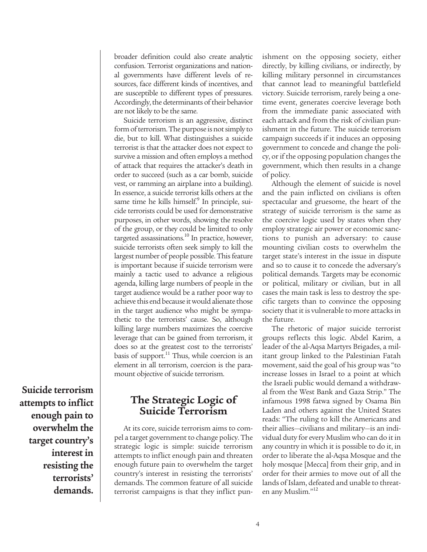broader definition could also create analytic confusion. Terrorist organizations and national governments have different levels of resources, face different kinds of incentives, and are susceptible to different types of pressures. Accordingly, the determinants of their behavior are not likely to be the same.

Suicide terrorism is an aggressive, distinct form of terrorism. The purpose is not simply to die, but to kill. What distinguishes a suicide terrorist is that the attacker does not expect to survive a mission and often employs a method of attack that requires the attacker's death in order to succeed (such as a car bomb, suicide vest, or ramming an airplane into a building). In essence, a suicide terrorist kills others at the same time he kills himself.<sup>9</sup> In principle, suicide terrorists could be used for demonstrative purposes, in other words, showing the resolve of the group, or they could be limited to only targeted assassinations. $^{10}$  In practice, however, suicide terrorists often seek simply to kill the largest number of people possible. This feature is important because if suicide terrorism were mainly a tactic used to advance a religious agenda, killing large numbers of people in the target audience would be a rather poor way to achieve this end because it would alienate those in the target audience who might be sympathetic to the terrorists' cause. So, although killing large numbers maximizes the coercive leverage that can be gained from terrorism, it does so at the greatest cost to the terrorists' basis of support.<sup>11</sup> Thus, while coercion is an element in all terrorism, coercion is the paramount objective of suicide terrorism.

**Suicide terrorism attempts to inflict enough pain to overwhelm the target country's interest in resisting the terrorists' demands.**

### **The Strategic Logic of Suicide Terrorism**

At its core, suicide terrorism aims to compel a target government to change policy. The strategic logic is simple: suicide terrorism attempts to inflict enough pain and threaten enough future pain to overwhelm the target country's interest in resisting the terrorists' demands. The common feature of all suicide terrorist campaigns is that they inflict punishment on the opposing society, either directly, by killing civilians, or indirectly, by killing military personnel in circumstances that cannot lead to meaningful battlefield victory. Suicide terrorism, rarely being a onetime event, generates coercive leverage both from the immediate panic associated with each attack and from the risk of civilian punishment in the future. The suicide terrorism campaign succeeds if it induces an opposing government to concede and change the policy, or if the opposing population changes the government, which then results in a change of policy.

Although the element of suicide is novel and the pain inflicted on civilians is often spectacular and gruesome, the heart of the strategy of suicide terrorism is the same as the coercive logic used by states when they employ strategic air power or economic sanctions to punish an adversary: to cause mounting civilian costs to overwhelm the target state's interest in the issue in dispute and so to cause it to concede the adversary's political demands. Targets may be economic or political, military or civilian, but in all cases the main task is less to destroy the specific targets than to convince the opposing society that it is vulnerable to more attacks in the future.

The rhetoric of major suicide terrorist groups reflects this logic. Abdel Karim, a leader of the al-Aqsa Martyrs Brigades, a militant group linked to the Palestinian Fatah movement, said the goal of his group was "to increase losses in Israel to a point at which the Israeli public would demand a withdrawal from the West Bank and Gaza Strip." The infamous 1998 fatwa signed by Osama Bin Laden and others against the United States reads: "The ruling to kill the Americans and their allies—civilians and military—is an individual duty for every Muslim who can do it in any country in which it is possible to do it, in order to liberate the al-Aqsa Mosque and the holy mosque [Mecca] from their grip, and in order for their armies to move out of all the lands of Islam, defeated and unable to threaten any Muslim."<sup>12</sup>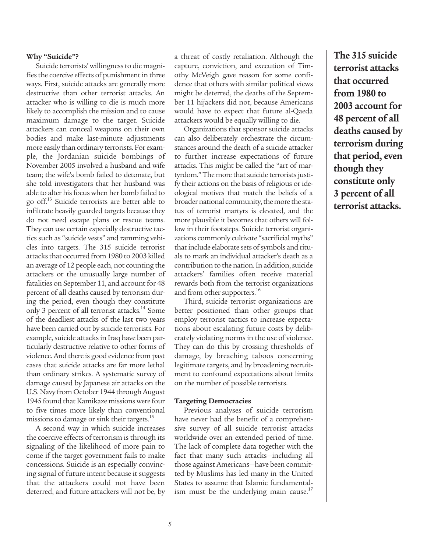#### **Why "Suicide"?**

Suicide terrorists' willingness to die magnifies the coercive effects of punishment in three ways. First, suicide attacks are generally more destructive than other terrorist attacks. An attacker who is willing to die is much more likely to accomplish the mission and to cause maximum damage to the target. Suicide attackers can conceal weapons on their own bodies and make last-minute adjustments more easily than ordinary terrorists. For example, the Jordanian suicide bombings of November 2005 involved a husband and wife team; the wife's bomb failed to detonate, but she told investigators that her husband was able to alter his focus when her bomb failed to go off.<sup>13</sup> Suicide terrorists are better able to infiltrate heavily guarded targets because they do not need escape plans or rescue teams. They can use certain especially destructive tactics such as "suicide vests" and ramming vehicles into targets. The 315 suicide terrorist attacks that occurred from 1980 to 2003 killed an average of 12 people each, not counting the attackers or the unusually large number of fatalities on September 11, and account for 48 percent of all deaths caused by terrorism during the period, even though they constitute only 3 percent of all terrorist attacks.<sup>14</sup> Some of the deadliest attacks of the last two years have been carried out by suicide terrorists. For example, suicide attacks in Iraq have been particularly destructive relative to other forms of violence. And there is good evidence from past cases that suicide attacks are far more lethal than ordinary strikes. A systematic survey of damage caused by Japanese air attacks on the U.S. Navy from October 1944 through August 1945 found that Kamikaze missions were four to five times more likely than conventional missions to damage or sink their targets.<sup>15</sup>

A second way in which suicide increases the coercive effects of terrorism is through its signaling of the likelihood of more pain to come if the target government fails to make concessions. Suicide is an especially convincing signal of future intent because it suggests that the attackers could not have been deterred, and future attackers will not be, by a threat of costly retaliation. Although the capture, conviction, and execution of Timothy McVeigh gave reason for some confidence that others with similar political views might be deterred, the deaths of the September 11 hijackers did not, because Americans would have to expect that future al-Qaeda attackers would be equally willing to die.

Organizations that sponsor suicide attacks can also deliberately orchestrate the circumstances around the death of a suicide attacker to further increase expectations of future attacks. This might be called the "art of martyrdom." The more that suicide terrorists justify their actions on the basis of religious or ideological motives that match the beliefs of a broader national community, the more the status of terrorist martyrs is elevated, and the more plausible it becomes that others will follow in their footsteps. Suicide terrorist organizations commonly cultivate "sacrificial myths" that include elaborate sets of symbols and rituals to mark an individual attacker's death as a contribution to the nation. In addition, suicide attackers' families often receive material rewards both from the terrorist organizations and from other supporters.<sup>16</sup>

Third, suicide terrorist organizations are better positioned than other groups that employ terrorist tactics to increase expectations about escalating future costs by deliberately violating norms in the use of violence. They can do this by crossing thresholds of damage, by breaching taboos concerning legitimate targets, and by broadening recruitment to confound expectations about limits on the number of possible terrorists.

#### **Targeting Democracies**

Previous analyses of suicide terrorism have never had the benefit of a comprehensive survey of all suicide terrorist attacks worldwide over an extended period of time. The lack of complete data together with the fact that many such attacks—including all those against Americans—have been committed by Muslims has led many in the United States to assume that Islamic fundamentalism must be the underlying main cause.<sup>17</sup>

**The 315 suicide terrorist attacks that occurred from 1980 to 2003 account for 48 percent of all deaths caused by terrorism during that period, even though they constitute only 3 percent of all terrorist attacks.**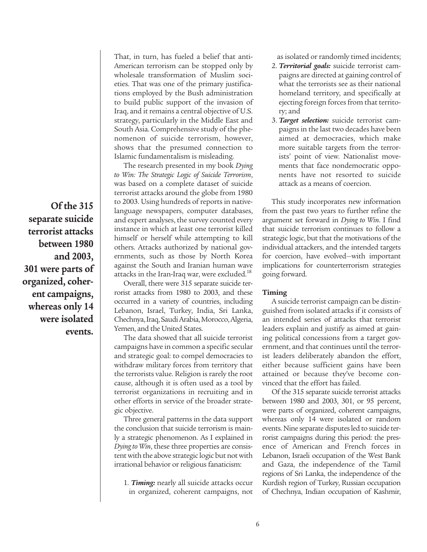**Of the 315 separate suicide terrorist attacks between 1980 and 2003, 301 were parts of organized, coherent campaigns, whereas only 14 were isolated events.**

That, in turn, has fueled a belief that anti-American terrorism can be stopped only by wholesale transformation of Muslim societies. That was one of the primary justifications employed by the Bush administration to build public support of the invasion of Iraq, and it remains a central objective of U.S. strategy, particularly in the Middle East and South Asia. Comprehensive study of the phenomenon of suicide terrorism, however, shows that the presumed connection to Islamic fundamentalism is misleading.

The research presented in my book *Dying to Win: The Strategic Logic of Suicide Terrorism*, was based on a complete dataset of suicide terrorist attacks around the globe from 1980 to 2003. Using hundreds of reports in nativelanguage newspapers, computer databases, and expert analyses, the survey counted every instance in which at least one terrorist killed himself or herself while attempting to kill others. Attacks authorized by national governments, such as those by North Korea against the South and Iranian human wave attacks in the Iran-Iraq war, were excluded.<sup>18</sup>

Overall, there were 315 separate suicide terrorist attacks from 1980 to 2003, and these occurred in a variety of countries, including Lebanon, Israel, Turkey, India, Sri Lanka, Chechnya, Iraq, Saudi Arabia, Morocco, Algeria, Yemen, and the United States.

The data showed that all suicide terrorist campaigns have in common a specific secular and strategic goal: to compel democracies to withdraw military forces from territory that the terrorists value. Religion is rarely the root cause, although it is often used as a tool by terrorist organizations in recruiting and in other efforts in service of the broader strategic objective.

Three general patterns in the data support the conclusion that suicide terrorism is mainly a strategic phenomenon. As I explained in *Dying to Win*, these three properties are consistent with the above strategic logic but not with irrational behavior or religious fanaticism:

1. *Timing:* nearly all suicide attacks occur in organized, coherent campaigns, not

as isolated or randomly timed incidents;

- 2. *Territorial goals:* suicide terrorist campaigns are directed at gaining control of what the terrorists see as their national homeland territory, and specifically at ejecting foreign forces from that territory; and
- 3. *Target selection:* suicide terrorist campaigns in the last two decades have been aimed at democracies, which make more suitable targets from the terrorists' point of view. Nationalist movements that face nondemocratic opponents have not resorted to suicide attack as a means of coercion.

This study incorporates new information from the past two years to further refine the argument set forward in *Dying to Win*. I find that suicide terrorism continues to follow a strategic logic, but that the motivations of the individual attackers, and the intended targets for coercion, have evolved—with important implications for counterterrorism strategies going forward.

#### **Timing**

A suicide terrorist campaign can be distinguished from isolated attacks if it consists of an intended series of attacks that terrorist leaders explain and justify as aimed at gaining political concessions from a target government, and that continues until the terrorist leaders deliberately abandon the effort, either because sufficient gains have been attained or because they've become convinced that the effort has failed.

Of the 315 separate suicide terrorist attacks between 1980 and 2003, 301, or 95 percent, were parts of organized, coherent campaigns, whereas only 14 were isolated or random events. Nine separate disputes led to suicide terrorist campaigns during this period: the presence of American and French forces in Lebanon, Israeli occupation of the West Bank and Gaza, the independence of the Tamil regions of Sri Lanka, the independence of the Kurdish region of Turkey, Russian occupation of Chechnya, Indian occupation of Kashmir,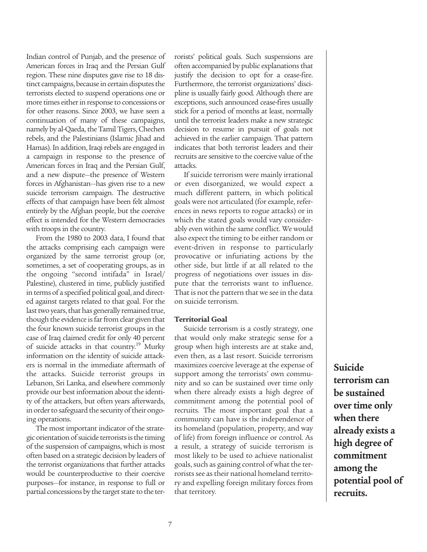Indian control of Punjab, and the presence of American forces in Iraq and the Persian Gulf region. These nine disputes gave rise to 18 distinct campaigns, because in certain disputes the terrorists elected to suspend operations one or more times either in response to concessions or for other reasons. Since 2003, we have seen a continuation of many of these campaigns, namely by al-Qaeda, the Tamil Tigers, Chechen rebels, and the Palestinians (Islamic Jihad and Hamas). In addition, Iraqi rebels are engaged in a campaign in response to the presence of American forces in Iraq and the Persian Gulf, and a new dispute—the presence of Western forces in Afghanistan—has given rise to a new suicide terrorism campaign. The destructive effects of that campaign have been felt almost entirely by the Afghan people, but the coercive effect is intended for the Western democracies with troops in the country.

From the 1980 to 2003 data, I found that the attacks comprising each campaign were organized by the same terrorist group (or, sometimes, a set of cooperating groups, as in the ongoing "second intifada" in Israel/ Palestine), clustered in time, publicly justified in terms of a specified political goal, and directed against targets related to that goal. For the last two years, that has generally remained true, though the evidence is far from clear given that the four known suicide terrorist groups in the case of Iraq claimed credit for only 40 percent of suicide attacks in that country.<sup>19</sup> Murky information on the identity of suicide attackers is normal in the immediate aftermath of the attacks. Suicide terrorist groups in Lebanon, Sri Lanka, and elsewhere commonly provide our best information about the identity of the attackers, but often years afterwards, in order to safeguard the security of their ongoing operations.

The most important indicator of the strategic orientation of suicide terrorists is the timing of the suspension of campaigns, which is most often based on a strategic decision by leaders of the terrorist organizations that further attacks would be counterproductive to their coercive purposes—for instance, in response to full or partial concessions by the target state to the terrorists' political goals. Such suspensions are often accompanied by public explanations that justify the decision to opt for a cease-fire. Furthermore, the terrorist organizations' discipline is usually fairly good. Although there are exceptions, such announced cease-fires usually stick for a period of months at least, normally until the terrorist leaders make a new strategic decision to resume in pursuit of goals not achieved in the earlier campaign. That pattern indicates that both terrorist leaders and their recruits are sensitive to the coercive value of the attacks.

If suicide terrorism were mainly irrational or even disorganized, we would expect a much different pattern, in which political goals were not articulated (for example, references in news reports to rogue attacks) or in which the stated goals would vary considerably even within the same conflict. We would also expect the timing to be either random or event-driven in response to particularly provocative or infuriating actions by the other side, but little if at all related to the progress of negotiations over issues in dispute that the terrorists want to influence. That is not the pattern that we see in the data on suicide terrorism.

#### **Territorial Goal**

Suicide terrorism is a costly strategy, one that would only make strategic sense for a group when high interests are at stake and, even then, as a last resort. Suicide terrorism maximizes coercive leverage at the expense of support among the terrorists' own community and so can be sustained over time only when there already exists a high degree of commitment among the potential pool of recruits. The most important goal that a community can have is the independence of its homeland (population, property, and way of life) from foreign influence or control. As a result, a strategy of suicide terrorism is most likely to be used to achieve nationalist goals, such as gaining control of what the terrorists see as their national homeland territory and expelling foreign military forces from that territory.

**Suicide terrorism can be sustained over time only when there already exists a high degree of commitment among the potential pool of recruits.**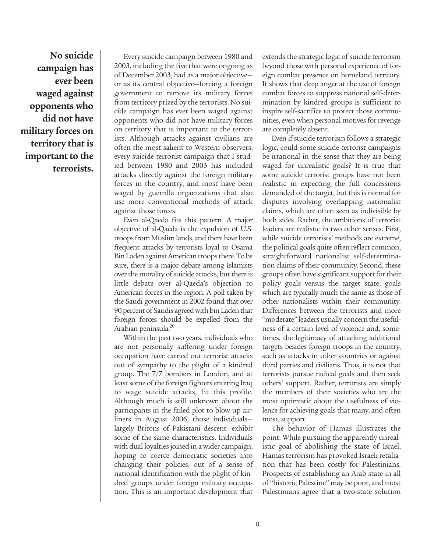**No suicide campaign has ever been waged against opponents who did not have military forces on territory that is important to the terrorists.** 

Every suicide campaign between 1980 and 2003, including the five that were ongoing as of December 2003, had as a major objective or as its central objective—forcing a foreign government to remove its military forces from territory prized by the terrorists. No suicide campaign has ever been waged against opponents who did not have military forces on territory that is important to the terrorists. Although attacks against civilians are often the most salient to Western observers, every suicide terrorist campaign that I studied between 1980 and 2003 has included attacks directly against the foreign military forces in the country, and most have been waged by guerrilla organizations that also use more conventional methods of attack against those forces.

Even al-Qaeda fits this pattern. A major objective of al-Qaeda is the expulsion of U.S. troops from Muslim lands, and there have been frequent attacks by terrorists loyal to Osama Bin Laden against American troops there. To be sure, there is a major debate among Islamists over the morality of suicide attacks, but there is little debate over al-Qaeda's objection to American forces in the region. A poll taken by the Saudi government in 2002 found that over 90 percent of Saudis agreed with bin Laden that foreign forces should be expelled from the Arabian peninsula.<sup>20</sup>

Within the past two years, individuals who are not personally suffering under foreign occupation have carried out terrorist attacks out of sympathy to the plight of a kindred group. The 7/7 bombers in London, and at least some of the foreign fighters entering Iraq to wage suicide attacks, fit this profile. Although much is still unknown about the participants in the failed plot to blow up airliners in August 2006, those individuals largely Britons of Pakistani descent—exhibit some of the same characteristics. Individuals with dual loyalties joined in a wider campaign, hoping to coerce democratic societies into changing their policies, out of a sense of national identification with the plight of kindred groups under foreign military occupation. This is an important development that

extends the strategic logic of suicide terrorism beyond those with personal experience of foreign combat presence on homeland territory. It shows that deep anger at the use of foreign combat forces to suppress national self-determination by kindred groups is sufficient to inspire self-sacrifice to protect those communities, even when personal motives for revenge are completely absent.

Even if suicide terrorism follows a strategic logic, could some suicide terrorist campaigns be irrational in the sense that they are being waged for unrealistic goals? It is true that some suicide terrorist groups have not been realistic in expecting the full concessions demanded of the target, but this is normal for disputes involving overlapping nationalist claims, which are often seen as indivisible by both sides. Rather, the ambitions of terrorist leaders are realistic in two other senses. First, while suicide terrorists' methods are extreme, the political goals quite often reflect common, straightforward nationalist self-determination claims of their community. Second, these groups often have significant support for their policy goals versus the target state, goals which are typically much the same as those of other nationalists within their community. Differences between the terrorists and more "moderate" leaders usually concern the usefulness of a certain level of violence and, sometimes, the legitimacy of attacking additional targets besides foreign troops in the country, such as attacks in other countries or against third parties and civilians. Thus, it is not that terrorists pursue radical goals and then seek others' support. Rather, terrorists are simply the members of their societies who are the most optimistic about the usefulness of violence for achieving goals that many, and often most, support.

The behavior of Hamas illustrates the point. While pursuing the apparently unrealistic goal of abolishing the state of Israel, Hamas terrorism has provoked Israeli retaliation that has been costly for Palestinians. Prospects of establishing an Arab state in all of "historic Palestine" may be poor, and most Palestinians agree that a two-state solution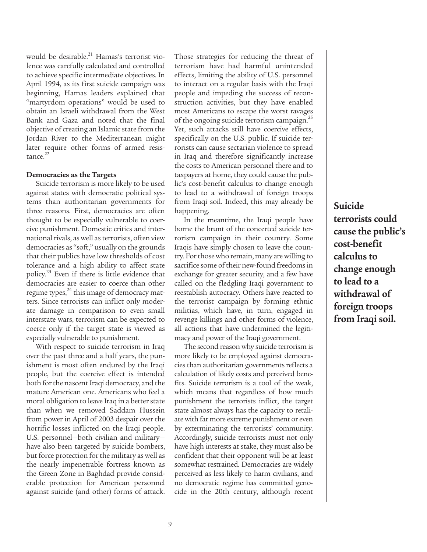would be desirable. $^{21}$  Hamas's terrorist violence was carefully calculated and controlled to achieve specific intermediate objectives. In April 1994, as its first suicide campaign was beginning, Hamas leaders explained that "martyrdom operations" would be used to obtain an Israeli withdrawal from the West Bank and Gaza and noted that the final objective of creating an Islamic state from the Jordan River to the Mediterranean might later require other forms of armed resistance.<sup>22</sup>

#### **Democracies as the Targets**

Suicide terrorism is more likely to be used against states with democratic political systems than authoritarian governments for three reasons. First, democracies are often thought to be especially vulnerable to coercive punishment. Domestic critics and international rivals, as well as terrorists, often view democracies as "soft," usually on the grounds that their publics have low thresholds of cost tolerance and a high ability to affect state policy.23 Even if there is little evidence that democracies are easier to coerce than other regime types, $^{24}$  this image of democracy matters. Since terrorists can inflict only moderate damage in comparison to even small interstate wars, terrorism can be expected to coerce only if the target state is viewed as especially vulnerable to punishment.

With respect to suicide terrorism in Iraq over the past three and a half years, the punishment is most often endured by the Iraqi people, but the coercive effect is intended both for the nascent Iraqi democracy, and the mature American one. Americans who feel a moral obligation to leave Iraq in a better state than when we removed Saddam Hussein from power in April of 2003 despair over the horrific losses inflicted on the Iraqi people. U.S. personnel—both civilian and military have also been targeted by suicide bombers, but force protection for the military as well as the nearly impenetrable fortress known as the Green Zone in Baghdad provide considerable protection for American personnel against suicide (and other) forms of attack. Those strategies for reducing the threat of terrorism have had harmful unintended effects, limiting the ability of U.S. personnel to interact on a regular basis with the Iraqi people and impeding the success of reconstruction activities, but they have enabled most Americans to escape the worst ravages of the ongoing suicide terrorism campaign.<sup>25</sup> Yet, such attacks still have coercive effects, specifically on the U.S. public. If suicide terrorists can cause sectarian violence to spread in Iraq and therefore significantly increase the costs to American personnel there and to taxpayers at home, they could cause the public's cost-benefit calculus to change enough to lead to a withdrawal of foreign troops from Iraqi soil. Indeed, this may already be happening.

In the meantime, the Iraqi people have borne the brunt of the concerted suicide terrorism campaign in their country. Some Iraqis have simply chosen to leave the country. For those who remain, many are willing to sacrifice some of their new-found freedoms in exchange for greater security, and a few have called on the fledgling Iraqi government to reestablish autocracy. Others have reacted to the terrorist campaign by forming ethnic militias, which have, in turn, engaged in revenge killings and other forms of violence, all actions that have undermined the legitimacy and power of the Iraqi government.

The second reason why suicide terrorism is more likely to be employed against democracies than authoritarian governments reflects a calculation of likely costs and perceived benefits. Suicide terrorism is a tool of the weak, which means that regardless of how much punishment the terrorists inflict, the target state almost always has the capacity to retaliate with far more extreme punishment or even by exterminating the terrorists' community. Accordingly, suicide terrorists must not only have high interests at stake, they must also be confident that their opponent will be at least somewhat restrained. Democracies are widely perceived as less likely to harm civilians, and no democratic regime has committed genocide in the 20th century, although recent **Suicide terrorists could cause the public's cost-benefit calculus to change enough to lead to a withdrawal of foreign troops from Iraqi soil.**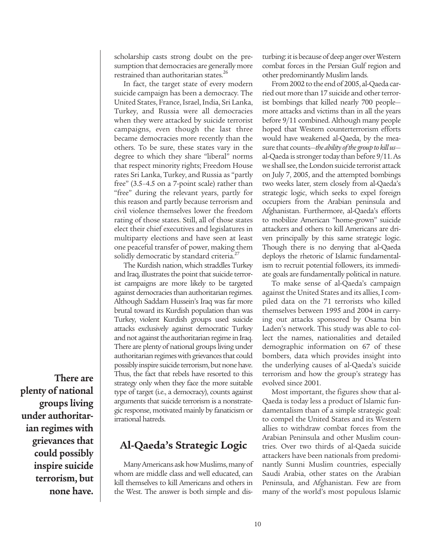scholarship casts strong doubt on the presumption that democracies are generally more restrained than authoritarian states.<sup>26</sup>

In fact, the target state of every modern suicide campaign has been a democracy. The United States, France, Israel, India, Sri Lanka, Turkey, and Russia were all democracies when they were attacked by suicide terrorist campaigns, even though the last three became democracies more recently than the others. To be sure, these states vary in the degree to which they share "liberal" norms that respect minority rights; Freedom House rates Sri Lanka, Turkey, and Russia as "partly free" (3.5–4.5 on a 7-point scale) rather than "free" during the relevant years, partly for this reason and partly because terrorism and civil violence themselves lower the freedom rating of those states. Still, all of those states elect their chief executives and legislatures in multiparty elections and have seen at least one peaceful transfer of power, making them solidly democratic by standard criteria. $^{27}$ 

The Kurdish nation, which straddles Turkey and Iraq, illustrates the point that suicide terrorist campaigns are more likely to be targeted against democracies than authoritarian regimes. Although Saddam Hussein's Iraq was far more brutal toward its Kurdish population than was Turkey, violent Kurdish groups used suicide attacks exclusively against democratic Turkey and not against the authoritarian regime in Iraq. There are plenty of national groups living under authoritarian regimes with grievances that could possibly inspire suicide terrorism, but none have. Thus, the fact that rebels have resorted to this strategy only when they face the more suitable type of target (i.e., a democracy), counts against arguments that suicide terrorism is a nonstrategic response, motivated mainly by fanaticism or irrational hatreds.

# **Al-Qaeda's Strategic Logic**

Many Americans ask how Muslims, many of whom are middle class and well educated, can kill themselves to kill Americans and others in the West. The answer is both simple and disturbing: it is because of deep anger over Western combat forces in the Persian Gulf region and other predominantly Muslim lands.

From 2002 to the end of 2005, al-Qaeda carried out more than 17 suicide and other terrorist bombings that killed nearly 700 people more attacks and victims than in all the years before 9/11 combined. Although many people hoped that Western counterterrorism efforts would have weakened al-Qaeda, by the measure that counts—*the ability of the group to kill us* al-Qaeda is stronger today than before 9/11. As we shall see, the London suicide terrorist attack on July 7, 2005, and the attempted bombings two weeks later, stem closely from al-Qaeda's strategic logic, which seeks to expel foreign occupiers from the Arabian peninsula and Afghanistan. Furthermore, al-Qaeda's efforts to mobilize American "home-grown" suicide attackers and others to kill Americans are driven principally by this same strategic logic. Though there is no denying that al-Qaeda deploys the rhetoric of Islamic fundamentalism to recruit potential followers, its immediate goals are fundamentally political in nature.

To make sense of al-Qaeda's campaign against the United States and its allies, I compiled data on the 71 terrorists who killed themselves between 1995 and 2004 in carrying out attacks sponsored by Osama bin Laden's network. This study was able to collect the names, nationalities and detailed demographic information on 67 of these bombers, data which provides insight into the underlying causes of al-Qaeda's suicide terrorism and how the group's strategy has evolved since 2001.

Most important, the figures show that al-Qaeda is today less a product of Islamic fundamentalism than of a simple strategic goal: to compel the United States and its Western allies to withdraw combat forces from the Arabian Peninsula and other Muslim countries. Over two thirds of al-Qaeda suicide attackers have been nationals from predominantly Sunni Muslim countries, especially Saudi Arabia, other states on the Arabian Peninsula, and Afghanistan. Few are from many of the world's most populous Islamic

**There are plenty of national groups living under authoritarian regimes with grievances that could possibly inspire suicide terrorism, but none have.**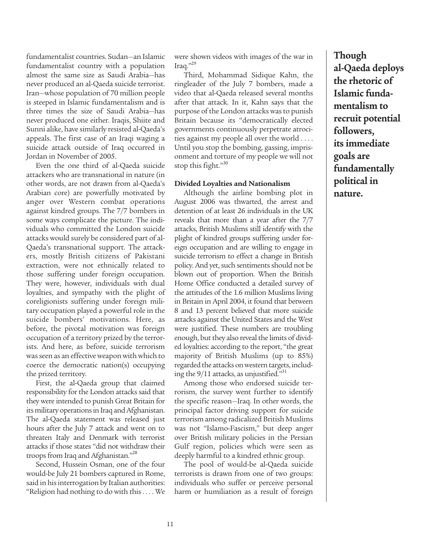fundamentalist countries. Sudan—an Islamic fundamentalist country with a population almost the same size as Saudi Arabia—has never produced an al-Qaeda suicide terrorist. Iran—whose population of 70 million people is steeped in Islamic fundamentalism and is three times the size of Saudi Arabia—has never produced one either. Iraqis, Shiite and Sunni alike, have similarly resisted al-Qaeda's appeals. The first case of an Iraqi waging a suicide attack outside of Iraq occurred in Jordan in November of 2005.

Even the one third of al-Qaeda suicide attackers who are transnational in nature (in other words, are not drawn from al-Qaeda's Arabian core) are powerfully motivated by anger over Western combat operations against kindred groups. The 7/7 bombers in some ways complicate the picture. The individuals who committed the London suicide attacks would surely be considered part of al-Qaeda's transnational support. The attackers, mostly British citizens of Pakistani extraction, were not ethnically related to those suffering under foreign occupation. They were, however, individuals with dual loyalties, and sympathy with the plight of coreligionists suffering under foreign military occupation played a powerful role in the suicide bombers' motivations. Here, as before, the pivotal motivation was foreign occupation of a territory prized by the terrorists. And here, as before, suicide terrorism was seen as an effective weapon with which to coerce the democratic nation(s) occupying the prized territory.

First, the al-Qaeda group that claimed responsibility for the London attacks said that they were intended to punish Great Britain for its military operations in Iraq and Afghanistan. The al-Qaeda statement was released just hours after the July 7 attack and went on to threaten Italy and Denmark with terrorist attacks if those states "did not withdraw their troops from Iraq and Afghanistan."28

Second, Hussein Osman, one of the four would-be July 21 bombers captured in Rome, said in his interrogation by Italian authorities: "Religion had nothing to do with this . . . . We were shown videos with images of the war in Iraq."29

Third, Mohammad Sidique Kahn, the ringleader of the July 7 bombers, made a video that al-Qaeda released several months after that attack. In it, Kahn says that the purpose of the London attacks was to punish Britain because its "democratically elected governments continuously perpetrate atrocities against my people all over the world . . . . Until you stop the bombing, gassing, imprisonment and torture of my people we will not stop this fight." $30$ 

#### **Divided Loyalties and Nationalism**

Although the airline bombing plot in August 2006 was thwarted, the arrest and detention of at least 26 individuals in the UK reveals that more than a year after the 7/7 attacks, British Muslims still identify with the plight of kindred groups suffering under foreign occupation and are willing to engage in suicide terrorism to effect a change in British policy. And yet, such sentiments should not be blown out of proportion. When the British Home Office conducted a detailed survey of the attitudes of the 1.6 million Muslims living in Britain in April 2004, it found that between 8 and 13 percent believed that more suicide attacks against the United States and the West were justified. These numbers are troubling enough, but they also reveal the limits of divided loyalties: according to the report, "the great majority of British Muslims (up to 85%) regarded the attacks on western targets, including the  $9/11$  attacks, as unjustified.<sup>331</sup>

Among those who endorsed suicide terrorism, the survey went further to identify the specific reason—Iraq. In other words, the principal factor driving support for suicide terrorism among radicalized British Muslims was not "Islamo-Fascism," but deep anger over British military policies in the Persian Gulf region, policies which were seen as deeply harmful to a kindred ethnic group.

The pool of would-be al-Qaeda suicide terrorists is drawn from one of two groups: individuals who suffer or perceive personal harm or humiliation as a result of foreign

**Though al-Qaeda deploys the rhetoric of Islamic fundamentalism to recruit potential followers, its immediate goals are fundamentally political in nature.**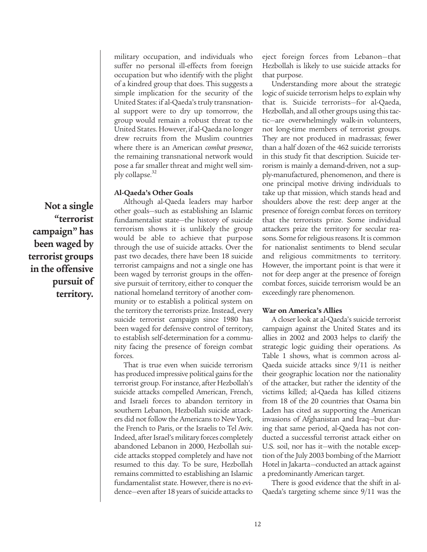military occupation, and individuals who suffer no personal ill-effects from foreign occupation but who identify with the plight of a kindred group that does. This suggests a simple implication for the security of the United States: if al-Qaeda's truly transnational support were to dry up tomorrow, the group would remain a robust threat to the United States. However, if al-Qaeda no longer drew recruits from the Muslim countries where there is an American *combat presence*, the remaining transnational network would pose a far smaller threat and might well simply collapse. $32$ 

#### **Al-Qaeda's Other Goals**

Although al-Qaeda leaders may harbor other goals—such as establishing an Islamic fundamentalist state—the history of suicide terrorism shows it is unlikely the group would be able to achieve that purpose through the use of suicide attacks. Over the past two decades, there have been 18 suicide terrorist campaigns and not a single one has been waged by terrorist groups in the offensive pursuit of territory, either to conquer the national homeland territory of another community or to establish a political system on the territory the terrorists prize. Instead, every suicide terrorist campaign since 1980 has been waged for defensive control of territory, to establish self-determination for a community facing the presence of foreign combat forces.

That is true even when suicide terrorism has produced impressive political gains for the terrorist group. For instance, after Hezbollah's suicide attacks compelled American, French, and Israeli forces to abandon territory in southern Lebanon, Hezbollah suicide attackers did not follow the Americans to New York, the French to Paris, or the Israelis to Tel Aviv. Indeed, after Israel's military forces completely abandoned Lebanon in 2000, Hezbollah suicide attacks stopped completely and have not resumed to this day. To be sure, Hezbollah remains committed to establishing an Islamic fundamentalist state. However, there is no evidence—even after 18 years of suicide attacks to

eject foreign forces from Lebanon—that Hezbollah is likely to use suicide attacks for that purpose.

Understanding more about the strategic logic of suicide terrorism helps to explain why that is. Suicide terrorists—for al-Qaeda, Hezbollah, and all other groups using this tactic—are overwhelmingly walk-in volunteers, not long-time members of terrorist groups. They are not produced in madrassas; fewer than a half dozen of the 462 suicide terrorists in this study fit that description. Suicide terrorism is mainly a demand-driven, not a supply-manufactured, phenomenon, and there is one principal motive driving individuals to take up that mission, which stands head and shoulders above the rest: deep anger at the presence of foreign combat forces on territory that the terrorists prize. Some individual attackers prize the territory for secular reasons. Some for religious reasons. It is common for nationalist sentiments to blend secular and religious commitments to territory. However, the important point is that were it not for deep anger at the presence of foreign combat forces, suicide terrorism would be an exceedingly rare phenomenon.

#### **War on America's Allies**

A closer look at al-Qaeda's suicide terrorist campaign against the United States and its allies in 2002 and 2003 helps to clarify the strategic logic guiding their operations. As Table 1 shows, what is common across al-Qaeda suicide attacks since 9/11 is neither their geographic location nor the nationality of the attacker, but rather the identity of the victims killed; al-Qaeda has killed citizens from 18 of the 20 countries that Osama bin Laden has cited as supporting the American invasions of Afghanistan and Iraq—but during that same period, al-Qaeda has not conducted a successful terrorist attack either on U.S. soil, nor has it—with the notable exception of the July 2003 bombing of the Marriott Hotel in Jakarta—conducted an attack against a predominantly American target.

There is good evidence that the shift in al-Qaeda's targeting scheme since 9/11 was the

**Not a single "terrorist campaign" has been waged by terrorist groups in the offensive pursuit of territory.**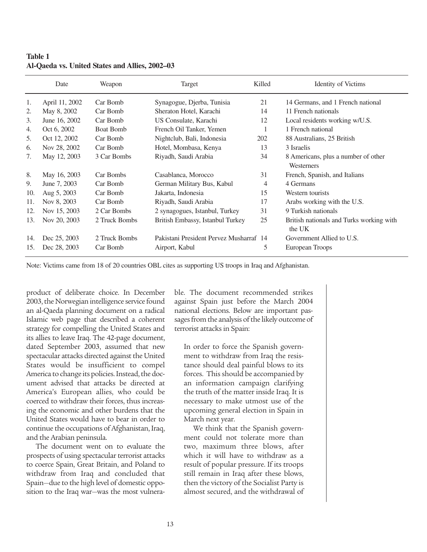|     | Date           | Weapon           | Target                                  | Killed | <b>Identity of Victims</b>               |
|-----|----------------|------------------|-----------------------------------------|--------|------------------------------------------|
| 1.  | April 11, 2002 | Car Bomb         | Synagogue, Djerba, Tunisia              | 21     | 14 Germans, and 1 French national        |
| 2.  | May 8, 2002    | Car Bomb         | Sheraton Hotel, Karachi                 | 14     | 11 French nationals                      |
| 3.  | June 16, 2002  | Car Bomb         | US Consulate, Karachi                   | 12     | Local residents working w/U.S.           |
| 4.  | Oct 6, 2002    | <b>Boat Bomb</b> | French Oil Tanker, Yemen                |        | 1 French national                        |
| 5.  | Oct 12, 2002   | Car Bomb         | Nightclub, Bali, Indonesia              | 202    | 88 Australians, 25 British               |
| 6.  | Nov 28, 2002   | Car Bomb         | Hotel, Mombasa, Kenya                   | 13     | 3 Israelis                               |
| 7.  | May 12, 2003   | 3 Car Bombs      | Riyadh, Saudi Arabia                    | 34     | 8 Americans, plus a number of other      |
|     |                |                  |                                         |        | Westerners                               |
| 8.  | May 16, 2003   | Car Bombs        | Casablanca, Morocco                     | 31     | French, Spanish, and Italians            |
| 9.  | June 7, 2003   | Car Bomb         | German Military Bus, Kabul              | 4      | 4 Germans                                |
| 10. | Aug 5, 2003    | Car Bomb         | Jakarta, Indonesia                      | 15     | Western tourists                         |
| 11. | Nov 8, 2003    | Car Bomb         | Riyadh, Saudi Arabia                    | 17     | Arabs working with the U.S.              |
| 12. | Nov 15, 2003   | 2 Car Bombs      | 2 synagogues, Istanbul, Turkey          | 31     | 9 Turkish nationals                      |
| 13. | Nov 20, 2003   | 2 Truck Bombs    | British Embassy, Istanbul Turkey        | 25     | British nationals and Turks working with |
|     |                |                  |                                         |        | the UK                                   |
| 14. | Dec 25, 2003   | 2 Truck Bombs    | Pakistani President Pervez Musharraf 14 |        | Government Allied to U.S.                |
| 15. | Dec 28, 2003   | Car Bomb         | Airport, Kabul                          | 5      | European Troops                          |

**Table 1 Al-Qaeda vs. United States and Allies, 2002–03**

Note: Victims came from 18 of 20 countries OBL cites as supporting US troops in Iraq and Afghanistan.

product of deliberate choice. In December 2003, the Norwegian intelligence service found an al-Qaeda planning document on a radical Islamic web page that described a coherent strategy for compelling the United States and its allies to leave Iraq. The 42-page document, dated September 2003, assumed that new spectacular attacks directed against the United States would be insufficient to compel America to change its policies. Instead, the document advised that attacks be directed at America's European allies, who could be coerced to withdraw their forces, thus increasing the economic and other burdens that the United States would have to bear in order to continue the occupations of Afghanistan, Iraq, and the Arabian peninsula.

The document went on to evaluate the prospects of using spectacular terrorist attacks to coerce Spain, Great Britain, and Poland to withdraw from Iraq and concluded that Spain—due to the high level of domestic opposition to the Iraq war—was the most vulnerable. The document recommended strikes against Spain just before the March 2004 national elections. Below are important passages from the analysis of the likely outcome of terrorist attacks in Spain:

In order to force the Spanish government to withdraw from Iraq the resistance should deal painful blows to its forces. This should be accompanied by an information campaign clarifying the truth of the matter inside Iraq. It is necessary to make utmost use of the upcoming general election in Spain in March next year.

We think that the Spanish government could not tolerate more than two, maximum three blows, after which it will have to withdraw as a result of popular pressure. If its troops still remain in Iraq after these blows, then the victory of the Socialist Party is almost secured, and the withdrawal of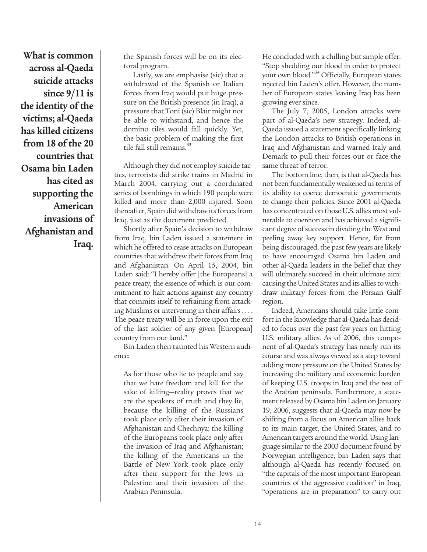**What is common across al-Qaeda suicide attacks since 9/11 is the identity of the victims; al-Qaeda has killed citizens from 18 of the 20 countries that Osama bin Laden has cited as supporting the American invasions of Afghanistan and Iraq.**

the Spanish forces will be on its electoral program.

Lastly, we are emphasise (sic) that a withdrawal of the Spanish or Italian forces from Iraq would put huge pressure on the British presence (in Iraq), a pressure that Toni (sic) Blair might not be able to withstand, and hence the domino tiles would fall quickly. Yet, the basic problem of making the first tile fall still remains.<sup>33</sup>

Although they did not employ suicide tactics, terrorists did strike trains in Madrid in March 2004, carrying out a coordinated series of bombings in which 190 people were killed and more than 2,000 injured. Soon thereafter, Spain did withdraw its forces from Iraq, just as the document predicted.

Shortly after Spain's decision to withdraw from Iraq, bin Laden issued a statement in which he offered to cease attacks on European countries that withdrew their forces from Iraq and Afghanistan. On April 15, 2004, bin Laden said: "I hereby offer [the Europeans] a peace treaty, the essence of which is our commitment to halt actions against any country that commits itself to refraining from attacking Muslims or intervening in their affairs . . . . The peace treaty will be in force upon the exit of the last soldier of any given [European] country from our land."

Bin Laden then taunted his Western audience:

As for those who lie to people and say that we hate freedom and kill for the sake of killing—reality proves that we are the speakers of truth and they lie, because the killing of the Russians took place only after their invasion of Afghanistan and Chechnya; the killing of the Europeans took place only after the invasion of Iraq and Afghanistan; the killing of the Americans in the Battle of New York took place only after their support for the Jews in Palestine and their invasion of the Arabian Peninsula.

He concluded with a chilling but simple offer: "Stop shedding our blood in order to protect your own blood."34 Officially, European states rejected bin Laden's offer. However, the number of European states leaving Iraq has been growing ever since.

The July 7, 2005, London attacks were part of al-Qaeda's new strategy. Indeed, al-Qaeda issued a statement specifically linking the London attacks to British operations in Iraq and Afghanistan and warned Italy and Demark to pull their forces out or face the same threat of terror.

The bottom line, then, is that al-Qaeda has not been fundamentally weakened in terms of its ability to coerce democratic governments to change their policies. Since 2001 al-Qaeda has concentrated on those U.S. allies most vulnerable to coercion and has achieved a significant degree of success in dividing the West and peeling away key support. Hence, far from being discouraged, the past few years are likely to have encouraged Osama bin Laden and other al-Qaeda leaders in the belief that they will ultimately succeed in their ultimate aim: causing the United States and its allies to withdraw military forces from the Persian Gulf region.

Indeed, Americans should take little comfort in the knowledge that al-Qaeda has decided to focus over the past few years on hitting U.S. military allies. As of 2006, this component of al-Qaeda's strategy has nearly run its course and was always viewed as a step toward adding more pressure on the United States by increasing the military and economic burden of keeping U.S. troops in Iraq and the rest of the Arabian peninsula. Furthermore, a statement released by Osama bin Laden on January 19, 2006, suggests that al-Qaeda may now be shifting from a focus on American allies back to its main target, the United States, and to American targets around the world. Using language similar to the 2003 document found by Norwegian intelligence, bin Laden says that although al-Qaeda has recently focused on "the capitals of the most important European countries of the aggressive coalition" in Iraq, "operations are in preparation" to carry out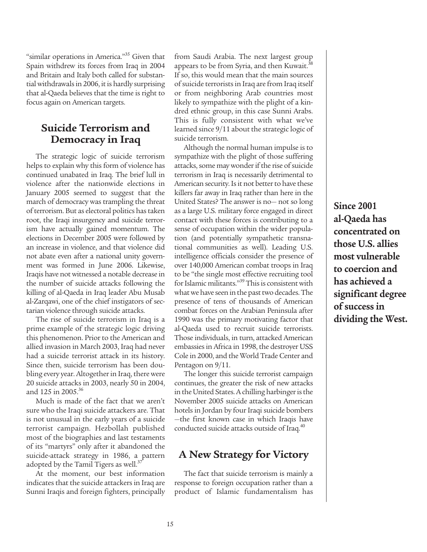"similar operations in America."<sup>35</sup> Given that Spain withdrew its forces from Iraq in 2004 and Britain and Italy both called for substantial withdrawals in 2006, it is hardly surprising that al-Qaeda believes that the time is right to focus again on American targets.

### **Suicide Terrorism and Democracy in Iraq**

The strategic logic of suicide terrorism helps to explain why this form of violence has continued unabated in Iraq. The brief lull in violence after the nationwide elections in January 2005 seemed to suggest that the march of democracy was trampling the threat of terrorism. But as electoral politics has taken root, the Iraqi insurgency and suicide terrorism have actually gained momentum. The elections in December 2005 were followed by an increase in violence, and that violence did not abate even after a national unity government was formed in June 2006. Likewise, Iraqis have not witnessed a notable decrease in the number of suicide attacks following the killing of al-Qaeda in Iraq leader Abu Musab al-Zarqawi, one of the chief instigators of sectarian violence through suicide attacks.

The rise of suicide terrorism in Iraq is a prime example of the strategic logic driving this phenomenon. Prior to the American and allied invasion in March 2003, Iraq had never had a suicide terrorist attack in its history. Since then, suicide terrorism has been doubling every year. Altogether in Iraq, there were 20 suicide attacks in 2003, nearly 50 in 2004, and 125 in 2005.<sup>36</sup>

Much is made of the fact that we aren't sure who the Iraqi suicide attackers are. That is not unusual in the early years of a suicide terrorist campaign. Hezbollah published most of the biographies and last testaments of its "martyrs" only after it abandoned the suicide-attack strategy in 1986, a pattern adopted by the Tamil Tigers as well. $37$ 

At the moment, our best information indicates that the suicide attackers in Iraq are Sunni Iraqis and foreign fighters, principally

from Saudi Arabia. The next largest group appears to be from Syria, and then Kuwait.<sup>38</sup> If so, this would mean that the main sources of suicide terrorists in Iraq are from Iraq itself or from neighboring Arab countries most likely to sympathize with the plight of a kindred ethnic group, in this case Sunni Arabs. This is fully consistent with what we've learned since 9/11 about the strategic logic of suicide terrorism.

Although the normal human impulse is to sympathize with the plight of those suffering attacks, some may wonder if the rise of suicide terrorism in Iraq is necessarily detrimental to American security. Is it not better to have these killers far away in Iraq rather than here in the United States? The answer is no— not so long as a large U.S. military force engaged in direct contact with these forces is contributing to a sense of occupation within the wider population (and potentially sympathetic transnational communities as well). Leading U.S. intelligence officials consider the presence of over 140,000 American combat troops in Iraq to be "the single most effective recruiting tool for Islamic militants."<sup>39</sup> This is consistent with what we have seen in the past two decades. The presence of tens of thousands of American combat forces on the Arabian Peninsula after 1990 was the primary motivating factor that al-Qaeda used to recruit suicide terrorists. Those individuals, in turn, attacked American embassies in Africa in 1998, the destroyer USS Cole in 2000, and the World Trade Center and Pentagon on 9/11.

The longer this suicide terrorist campaign continues, the greater the risk of new attacks in the United States. A chilling harbinger is the November 2005 suicide attacks on American hotels in Jordan by four Iraqi suicide bombers —the first known case in which Iraqis have conducted suicide attacks outside of Iraq.<sup>40</sup>

### **A New Strategy for Victory**

The fact that suicide terrorism is mainly a response to foreign occupation rather than a product of Islamic fundamentalism has

**Since 2001 al-Qaeda has concentrated on those U.S. allies most vulnerable to coercion and has achieved a significant degree of success in dividing the West.**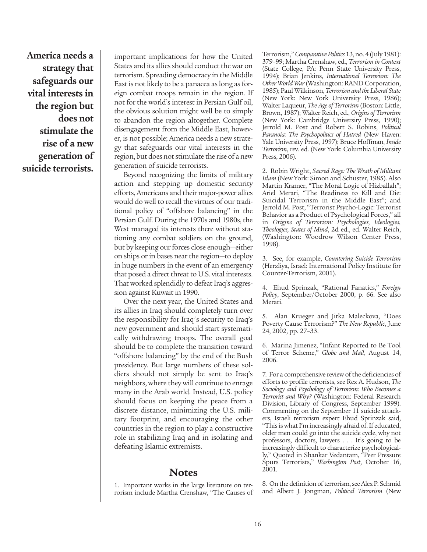**America needs a strategy that safeguards our vital interests in the region but does not stimulate the rise of a new generation of suicide terrorists.**

important implications for how the United States and its allies should conduct the war on terrorism. Spreading democracy in the Middle East is not likely to be a panacea as long as foreign combat troops remain in the region. If not for the world's interest in Persian Gulf oil, the obvious solution might well be to simply to abandon the region altogether. Complete disengagement from the Middle East, however, is not possible; America needs a new strategy that safeguards our vital interests in the region, but does not stimulate the rise of a new generation of suicide terrorists.

Beyond recognizing the limits of military action and stepping up domestic security efforts, Americans and their major-power allies would do well to recall the virtues of our traditional policy of "offshore balancing" in the Persian Gulf. During the 1970s and 1980s, the West managed its interests there without stationing any combat soldiers on the ground, but by keeping our forces close enough—either on ships or in bases near the region—to deploy in huge numbers in the event of an emergency that posed a direct threat to U.S. vital interests. That worked splendidly to defeat Iraq's aggression against Kuwait in 1990.

Over the next year, the United States and its allies in Iraq should completely turn over the responsibility for Iraq's security to Iraq's new government and should start systematically withdrawing troops. The overall goal should be to complete the transition toward "offshore balancing" by the end of the Bush presidency. But large numbers of these soldiers should not simply be sent to Iraq's neighbors, where they will continue to enrage many in the Arab world. Instead, U.S. policy should focus on keeping the peace from a discrete distance, minimizing the U.S. military footprint, and encouraging the other countries in the region to play a constructive role in stabilizing Iraq and in isolating and defeating Islamic extremists.

### **Notes**

1. Important works in the large literature on terrorism include Martha Crenshaw, "The Causes of Terrorism," *Comparative Politics* 13, no. 4 (July 1981): 379–99; Martha Crenshaw, ed., *Terrorism in Context* (State College, PA: Penn State University Press, 1994); Brian Jenkins, *International Terrorism: The Other World War* (Washington: RAND Corporation, 1985); Paul Wilkinson, *Terrorism and the Liberal State* (New York: New York University Press, 1986); Walter Laqueur, *The Age of Terrorism* (Boston: Little, Brown, 1987); Walter Reich, ed., *Origins of Terrorism* (New York: Cambridge University Press, 1990); Jerrold M. Post and Robert S. Robins, *Political Paranoia: The Psychopolitics of Hatred* (New Haven: Yale University Press, 1997); Bruce Hoffman, *Inside Terrorism*, rev. ed. (New York: Columbia University Press, 2006).

2. Robin Wright, *Sacred Rage: The Wrath of Militant Islam* (New York: Simon and Schuster, 1985). Also Martin Kramer, "The Moral Logic of Hizballah"; Ariel Merari, "The Readiness to Kill and Die: Suicidal Terrorism in the Middle East"; and Jerrold M. Post, "Terrorist Psycho-Logic: Terrorist Behavior as a Product of Psychological Forces," all in *Origins of Terrorism: Psychologies, Ideologies, Theologies, States of Mind*, 2d ed., ed. Walter Reich, (Washington: Woodrow Wilson Center Press, 1998).

3. See, for example, *Countering Suicide Terrorism* (Herzliya, Israel: International Policy Institute for Counter-Terrorism, 2001).

4. Ehud Sprinzak, "Rational Fanatics," *Foreign Policy*, September/October 2000, p. 66. See also Merari.

5. Alan Krueger and Jitka Maleckova, "Does Poverty Cause Terrorism?" *The New Republic*, June 24, 2002, pp. 27–33.

6. Marina Jimenez, "Infant Reported to Be Tool of Terror Scheme," *Globe and Mail*, August 14, 2006.

7. For a comprehensive review of the deficiencies of efforts to profile terrorists, see Rex A. Hudson, *The Sociology and Psychology of Terrorism: Who Becomes a Terrorist and Why?* (Washington: Federal Research Division, Library of Congress, September 1999). Commenting on the September 11 suicide attackers, Israeli terrorism expert Ehud Sprinzak said, "This is what I'm increasingly afraid of. If educated, older men could go into the suicide cycle, why not professors, doctors, lawyers . . . It's going to be increasingly difficult to characterize psychologically," Quoted in Shankar Vedantam, "Peer Pressure Spurs Terrorists," *Washington Post*, October 16, 2001.

8. On the definition of terrorism, see Alex P. Schmid and Albert J. Jongman, *Political Terrorism* (New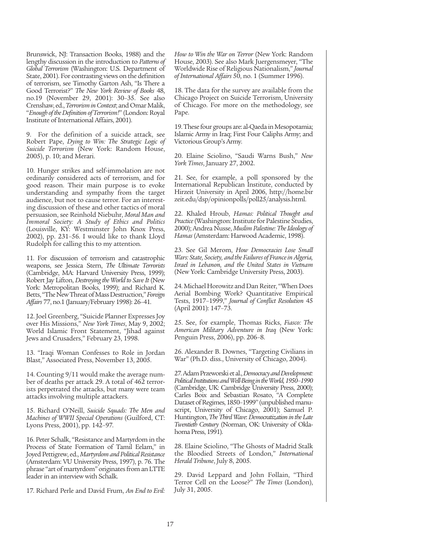Brunswick, NJ: Transaction Books, 1988) and the lengthy discussion in the introduction to *Patterns of Global Terrorism* (Washington: U.S. Department of State, 2001). For contrasting views on the definition of terrorism, see Timothy Garton Ash, "Is There a Good Terrorist?" *The New York Review of Books* 48, no.19 (November 29, 2001): 30–35. See also Crenshaw, ed., *Terrorism in Context*; and Omar Malik, "*Enough of the Definition of Terrorism!*" (London: Royal Institute of International Affairs, 2001).

9. For the definition of a suicide attack, see Robert Pape, *Dying to Win: The Strategic Logic of Suicide Terrorism* (New York: Random House, 2005), p. 10; and Merari.

10. Hunger strikes and self-immolation are not ordinarily considered acts of terrorism, and for good reason. Their main purpose is to evoke understanding and sympathy from the target audience, but not to cause terror. For an interesting discussion of these and other tactics of moral persuasion, see Reinhold Niebuhr, *Moral Man and Immoral Society: A Study of Ethics and Politics* (Louisville, KY: Westminster John Knox Press, 2002), pp. 231–56. I would like to thank Lloyd Rudolph for calling this to my attention.

11. For discussion of terrorism and catastrophic weapons, see Jessica Stern, *The Ultimate Terrorists* (Cambridge, MA: Harvard University Press, 1999); Robert Jay Lifton, *Destroying the World to Save It* (New York: Metropolitan Books, 1999); and Richard K. Betts, "The New Threat of Mass Destruction," *Foreign Affairs* 77, no.1 (January/February 1998): 26–41.

12. Joel Greenberg, "Suicide Planner Expresses Joy over His Missions," *New York Times*, May 9, 2002; World Islamic Front Statement, "Jihad against Jews and Crusaders," February 23, 1998.

13. "Iraqi Woman Confesses to Role in Jordan Blast," Associated Press, November 13, 2005.

14. Counting 9/11 would make the average number of deaths per attack 29. A total of 462 terrorists perpetrated the attacks, but many were team attacks involving multiple attackers.

15. Richard O'Neill, *Suicide Squads: The Men and Machines of WWII Special Operations* (Guilford, CT: Lyons Press, 2001), pp. 142–97.

16. Peter Schalk, "Resistance and Martyrdom in the Process of State Formation of Tamil Eelam," in Joyed Pettigrew, ed., *Martyrdom and Political Resistance* (Amsterdam: VU University Press, 1997), p. 76. The phrase "art of martyrdom" originates from an LTTE leader in an interview with Schalk.

17. Richard Perle and David Frum, *An End to Evil:*

*How to Win the War on Terror* (New York: Random House, 2003). See also Mark Juergensmeyer, "The Worldwide Rise of Religious Nationalism," *Journal of International Affairs* 50, no. 1 (Summer 1996).

18. The data for the survey are available from the Chicago Project on Suicide Terrorism, University of Chicago. For more on the methodology, see Pape.

19. These four groups are: al-Qaeda in Mesopotamia; Islamic Army in Iraq; First Four Caliphs Army; and Victorious Group's Army.

20. Elaine Sciolino, "Saudi Warns Bush," *New York Times*, January 27, 2002.

21. See, for example, a poll sponsored by the International Republican Institute, conducted by Hirzeit University in April 2006, http://home.bir zeit.edu/dsp/opinionpolls/poll25/analysis.html.

22. Khaled Hroub, *Hamas: Political Thought and Practice*(Washington: Institute for Palestine Studies, 2000); Andrea Nusse, *Muslim Palestine: The Ideology of Hamas* (Amsterdam: Harwood Academic, 1998).

23. See Gil Merom, *How Democracies Lose Small Wars: State, Society, and the Failures of France in Algeria, Israel in Lebanon, and the United States in Vietnam* (New York: Cambridge University Press, 2003).

24. Michael Horowitz and Dan Reiter, "When Does Aerial Bombing Work? Quantitative Empirical Tests, 1917–1999," *Journal of Conflict Resolution* 45 (April 2001): 147–73.

25. See, for example, Thomas Ricks, *Fiasco: The American Military Adventure in Iraq* (New York: Penguin Press, 2006), pp. 206–8.

26. Alexander B. Downes, "Targeting Civilians in War" (Ph.D. diss., University of Chicago, 2004).

27. Adam Przeworski et al., *Democracy and Development: Political Institutions and Well-Being in the World, 1950–1990* (Cambridge, UK: Cambridge University Press, 2000); Carles Boix and Sebastian Rosato, "A Complete Dataset of Regimes, 1850–1999" (unpublished manuscript, University of Chicago, 2001); Samuel P. Huntington, *The Third Wave*: *Democratization in the Late Twentieth Century* (Norman, OK: University of Oklahoma Press, 1991).

28. Elaine Sciolino, "The Ghosts of Madrid Stalk the Bloodied Streets of London," *International Herald Tribune*, July 8, 2005.

29. David Leppard and John Follain, "Third Terror Cell on the Loose?" *The Times* (London), July 31, 2005.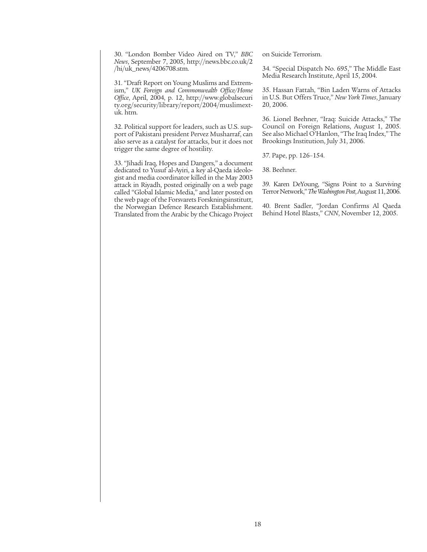30. "London Bomber Video Aired on TV," *BBC News*, September 7, 2005, http://news.bbc.co.uk/2 /hi/uk\_news/4206708.stm.

31. "Draft Report on Young Muslims and Extremism," *UK Foreign and Commonwealth Office/Home Office*, April, 2004, p. 12, http://www.globalsecuri ty.org/security/library/report/2004/muslimextuk. htm.

32. Political support for leaders, such as U.S. support of Pakistani president Pervez Musharraf, can also serve as a catalyst for attacks, but it does not trigger the same degree of hostility.

33. "Jihadi Iraq, Hopes and Dangers," a document dedicated to Yusuf al-Ayiri, a key al-Qaeda ideologist and media coordinator killed in the May 2003 attack in Riyadh, posted originally on a web page called "Global Islamic Media," and later posted on the web page of the Forsvarets Forskningsinstitutt, the Norwegian Defence Research Establishment. Translated from the Arabic by the Chicago Project on Suicide Terrorism.

34. "Special Dispatch No. 695," The Middle East Media Research Institute, April 15, 2004.

35. Hassan Fattah, "Bin Laden Warns of Attacks in U.S. But Offers Truce," *New York Times*, January 20, 2006.

36. Lionel Beehner, "Iraq: Suicide Attacks," The Council on Foreign Relations, August 1, 2005. See also Michael O'Hanlon, "The Iraq Index," The Brookings Institution, July 31, 2006.

37. Pape, pp. 126–154.

38. Beehner.

39. Karen DeYoung, "Signs Point to a Surviving Terror Network," *The Washington Post*, August 11, 2006.

40. Brent Sadler, "Jordan Confirms Al Qaeda Behind Hotel Blasts," *CNN*, November 12, 2005.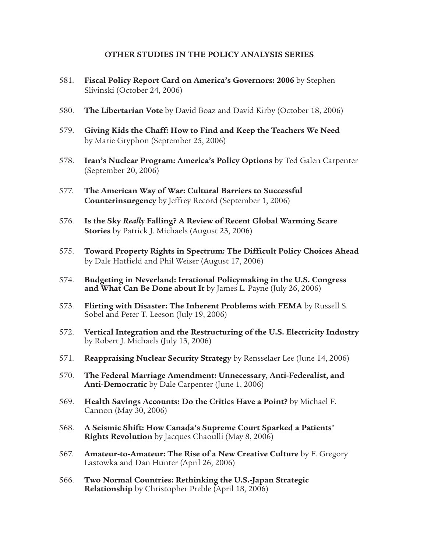#### **OTHER STUDIES IN THE POLICY ANALYSIS SERIES**

- 581. **Fiscal Policy Report Card on America's Governors: 2006** by Stephen Slivinski (October 24, 2006)
- 580. **The Libertarian Vote** by David Boaz and David Kirby (October 18, 2006)
- 579. **Giving Kids the Chaff: How to Find and Keep the Teachers We Need** by Marie Gryphon (September 25, 2006)
- 578. **Iran's Nuclear Program: America's Policy Options** by Ted Galen Carpenter (September 20, 2006)
- 577. **The American Way of War: Cultural Barriers to Successful Counterinsurgency** by Jeffrey Record (September 1, 2006)
- 576. **Is the Sky** *Really* **Falling? A Review of Recent Global Warming Scare Stories** by Patrick J. Michaels (August 23, 2006)
- 575. **Toward Property Rights in Spectrum: The Difficult Policy Choices Ahead**  by Dale Hatfield and Phil Weiser (August 17, 2006)
- 574. **Budgeting in Neverland: Irrational Policymaking in the U.S. Congress and What Can Be Done about It** by James L. Payne (July 26, 2006)
- 573. **Flirting with Disaster: The Inherent Problems with FEMA** by Russell S. Sobel and Peter T. Leeson (July 19, 2006)
- 572. **Vertical Integration and the Restructuring of the U.S. Electricity Industry** by Robert J. Michaels (July 13, 2006)
- 571. **Reappraising Nuclear Security Strategy** by Rensselaer Lee (June 14, 2006)
- 570. **The Federal Marriage Amendment: Unnecessary, Anti-Federalist, and Anti-Democratic** by Dale Carpenter (June 1, 2006)
- 569. **Health Savings Accounts: Do the Critics Have a Point?** by Michael F. Cannon (May 30, 2006)
- 568. **A Seismic Shift: How Canada's Supreme Court Sparked a Patients' Rights Revolution** by Jacques Chaoulli (May 8, 2006)
- 567. **Amateur-to-Amateur: The Rise of a New Creative Culture** by F. Gregory Lastowka and Dan Hunter (April 26, 2006)
- 566. **Two Normal Countries: Rethinking the U.S.-Japan Strategic Relationship** by Christopher Preble (April 18, 2006)